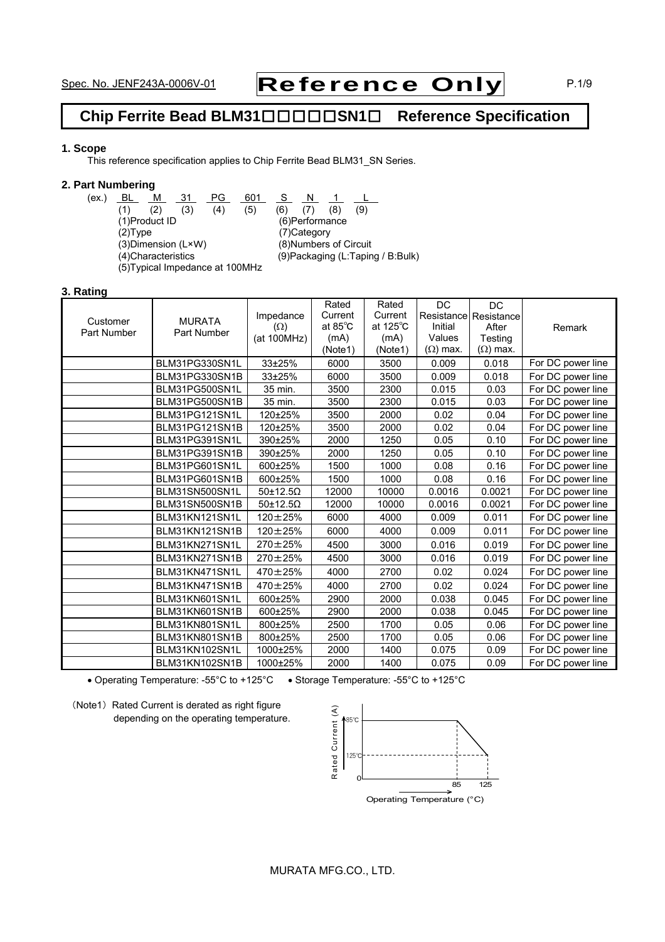# Spec. No. JENF243A-0006V-01 Reference Only P.1/9

# **Chip Ferrite Bead BLM31**□□□□□**SN1**□ **Reference Specification**

### **1. Scope**

This reference specification applies to Chip Ferrite Bead BLM31\_SN Series.

### **2. Part Numbering**

(ex.) <u>BL M 31 PG 601 S N 1 L</u> (1) (2) (3) (4) (5) (6) (7) (8) (9) (1)Product ID (6)Performance (2)Type (7)Category<br>(3)Dimension (L×W) (8)Numbers (3) Dimension (L×W) (8) Numbers of Circuit<br>(4) Characteristics (9) Packaging (L:Tapin (5)Typical Impedance at 100MHz

(9)Packaging (L:Taping / B:Bulk)

#### **3. Rating**

|             |                |                   | Rated   | Rated              | $\overline{DC}$ | <b>DC</b>             |                   |
|-------------|----------------|-------------------|---------|--------------------|-----------------|-----------------------|-------------------|
|             | <b>MURATA</b>  | Impedance         | Current | Current            |                 | Resistance Resistance |                   |
| Customer    |                | $(\Omega)$        | at 85°C | at $125^{\circ}$ C | Initial         | After                 | Remark            |
| Part Number | Part Number    | (at 100MHz)       | (mA)    | (mA)               | Values          | Testing               |                   |
|             |                |                   | (Note1) | (Note1)            | $(\Omega)$ max. | $(\Omega)$ max.       |                   |
|             | BLM31PG330SN1L | 33±25%            | 6000    | 3500               | 0.009           | 0.018                 | For DC power line |
|             | BLM31PG330SN1B | 33±25%            | 6000    | 3500               | 0.009           | 0.018                 | For DC power line |
|             | BLM31PG500SN1L | 35 min.           | 3500    | 2300               | 0.015           | 0.03                  | For DC power line |
|             | BLM31PG500SN1B | 35 min.           | 3500    | 2300               | 0.015           | 0.03                  | For DC power line |
|             | BLM31PG121SN1L | 120±25%           | 3500    | 2000               | 0.02            | 0.04                  | For DC power line |
|             | BLM31PG121SN1B | 120±25%           | 3500    | 2000               | 0.02            | 0.04                  | For DC power line |
|             | BLM31PG391SN1L | 390±25%           | 2000    | 1250               | 0.05            | 0.10                  | For DC power line |
|             | BLM31PG391SN1B | 390±25%           | 2000    | 1250               | 0.05            | 0.10                  | For DC power line |
|             | BLM31PG601SN1L | 600±25%           | 1500    | 1000               | 0.08            | 0.16                  | For DC power line |
|             | BLM31PG601SN1B | 600±25%           | 1500    | 1000               | 0.08            | 0.16                  | For DC power line |
|             | BLM31SN500SN1L | $50\pm12.5\Omega$ | 12000   | 10000              | 0.0016          | 0.0021                | For DC power line |
|             | BLM31SN500SN1B | $50\pm12.5\Omega$ | 12000   | 10000              | 0.0016          | 0.0021                | For DC power line |
|             | BLM31KN121SN1L | 120±25%           | 6000    | 4000               | 0.009           | 0.011                 | For DC power line |
|             | BLM31KN121SN1B | $120 \pm 25\%$    | 6000    | 4000               | 0.009           | 0.011                 | For DC power line |
|             | BLM31KN271SN1L | 270±25%           | 4500    | 3000               | 0.016           | 0.019                 | For DC power line |
|             | BLM31KN271SN1B | 270±25%           | 4500    | 3000               | 0.016           | 0.019                 | For DC power line |
|             | BLM31KN471SN1L | 470 ± 25%         | 4000    | 2700               | 0.02            | 0.024                 | For DC power line |
|             | BLM31KN471SN1B | 470±25%           | 4000    | 2700               | 0.02            | 0.024                 | For DC power line |
|             | BLM31KN601SN1L | 600±25%           | 2900    | 2000               | 0.038           | 0.045                 | For DC power line |
|             | BLM31KN601SN1B | 600±25%           | 2900    | 2000               | 0.038           | 0.045                 | For DC power line |
|             | BLM31KN801SN1L | 800±25%           | 2500    | 1700               | 0.05            | 0.06                  | For DC power line |
|             | BLM31KN801SN1B | 800±25%           | 2500    | 1700               | 0.05            | 0.06                  | For DC power line |
|             | BLM31KN102SN1L | 1000±25%          | 2000    | 1400               | 0.075           | 0.09                  | For DC power line |
|             | BLM31KN102SN1B | 1000±25%          | 2000    | 1400               | 0.075           | 0.09                  | For DC power line |

• Operating Temperature: -55°C to +125°C • Storage Temperature: -55°C to +125°C



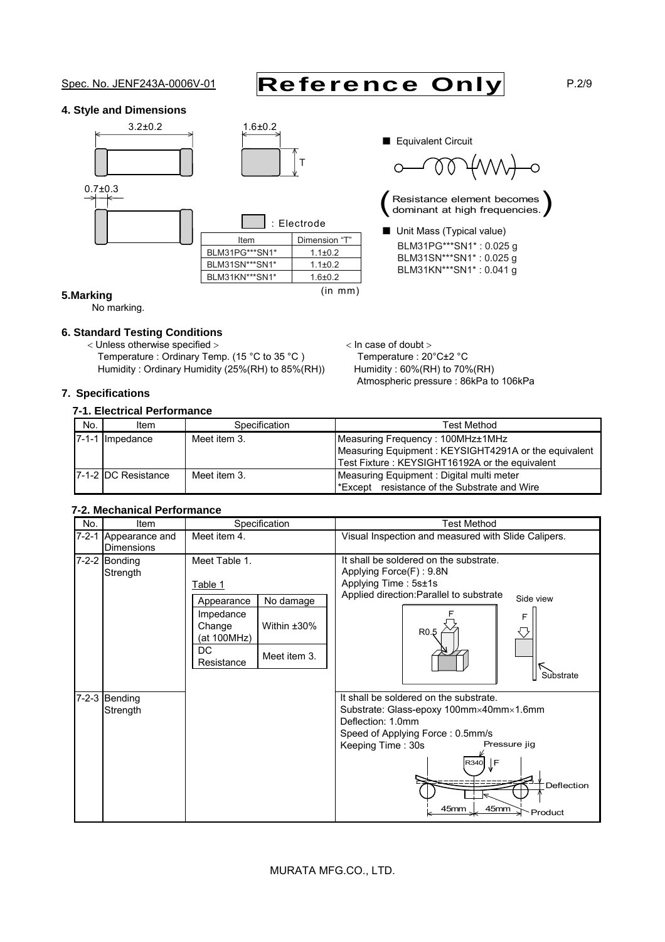# Spec. No. JENF243A-0006V-01 Reference Only P.2/9

### **4. Style and Dimensions**





|                | $\therefore$ Electrode |
|----------------|------------------------|
| Item           | Dimension "T"          |
| BLM31PG***SN1* | $1.1 \pm 0.2$          |
| BLM31SN***SN1* | $1.1 \pm 0.2$          |
| BLM31KN***SN1* | $1.6 + 0.2$            |
|                | $(in \; mm)$           |

■ Equivalent Circuit

 $\overline{O}$  $\bigcap$ 

Resistance element becomes<br>dominant at high frequencies.

■ Unit Mass (Typical value) BLM31PG\*\*\*SN1\* : 0.025 g BLM31SN\*\*\*SN1\* : 0.025 g BLM31KN\*\*\*SN1\* : 0.041 g

Atmospheric pressure : 86kPa to 106kPa

### **5.Marking**

No marking.

## **6. Standard Testing Conditions**

< Unless otherwise specified >  $\sim$  In case of doubt > Temperature : Ordinary Temp. (15 °C to 35 °C ) Temperature : 20°C±2 °C Humidity : Ordinary Humidity (25%(RH) to 85%(RH)) Humidity : 60%(RH) to 70%(RH)

### **7. Specifications**

## **7-1. Electrical Performance**

| No. | Item                | Specification | Test Method                                          |
|-----|---------------------|---------------|------------------------------------------------------|
|     | 7-1-1 Impedance     | Meet item 3.  | Measuring Frequency: 100MHz±1MHz                     |
|     |                     |               | Measuring Equipment: KEYSIGHT4291A or the equivalent |
|     |                     |               | Test Fixture: KEYSIGHT16192A or the equivalent       |
|     | 7-1-2 DC Resistance | Meet item 3.  | Measuring Equipment: Digital multi meter             |
|     |                     |               | Except resistance of the Substrate and Wire          |

### **7-2. Mechanical Performance**

| No.         | Item                                | Specification                                                                                                                                   | <b>Test Method</b>                                                                                                                                                                                                                     |
|-------------|-------------------------------------|-------------------------------------------------------------------------------------------------------------------------------------------------|----------------------------------------------------------------------------------------------------------------------------------------------------------------------------------------------------------------------------------------|
| $7 - 2 - 1$ | Appearance and<br><b>Dimensions</b> | Meet item 4.                                                                                                                                    | Visual Inspection and measured with Slide Calipers.                                                                                                                                                                                    |
|             | 7-2-2 Bonding<br>Strength           | Meet Table 1.<br>Table 1<br>No damage<br>Appearance<br>Impedance<br>Change<br>Within $±30\%$<br>(at 100MHz)<br>DC<br>Meet item 3.<br>Resistance | It shall be soldered on the substrate.<br>Applying Force(F): 9.8N<br>Applying Time: 5s±1s<br>Applied direction: Parallel to substrate<br>Side view<br>F<br>R <sub>0.5</sub><br>Substrate                                               |
| $7 - 2 - 3$ | Bending<br>Strength                 |                                                                                                                                                 | It shall be soldered on the substrate.<br>Substrate: Glass-epoxy 100mm×40mm×1.6mm<br>Deflection: 1.0mm<br>Speed of Applying Force: 0.5mm/s<br>Pressure jig<br>Keeping Time: 30s<br>ŢΕ<br>R340<br>Deflection<br>45mm<br>45mm<br>Product |

## MURATA MFG.CO., LTD.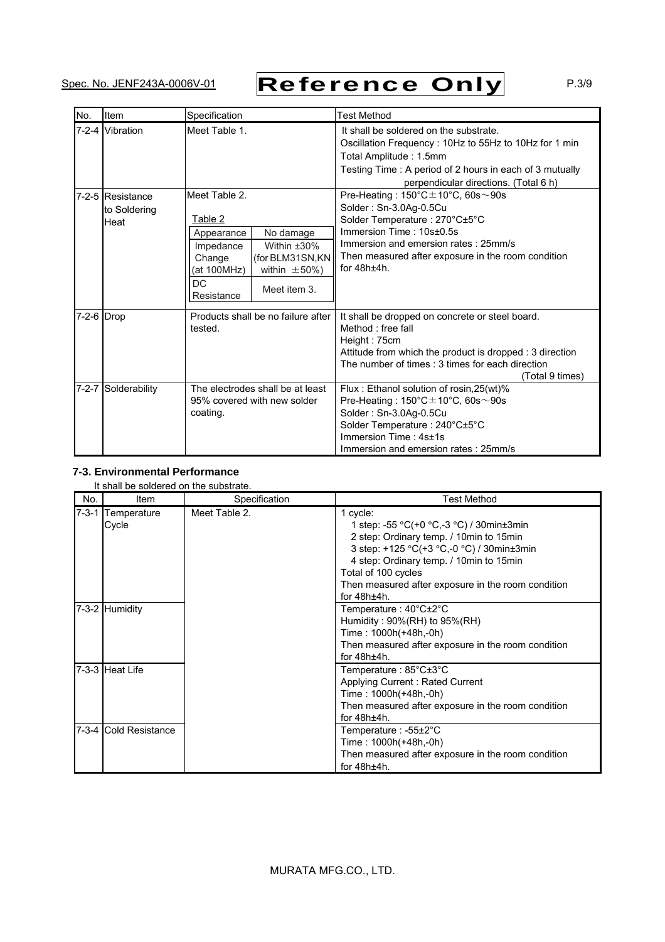# Spec. No. JENF243A-0006V-01 Reference Only P.3/9

| No.         | Item                                     | Specification                                                                                                                                                                               | <b>Test Method</b>                                                                                                                                                                                                                                                 |
|-------------|------------------------------------------|---------------------------------------------------------------------------------------------------------------------------------------------------------------------------------------------|--------------------------------------------------------------------------------------------------------------------------------------------------------------------------------------------------------------------------------------------------------------------|
|             | 7-2-4 Vibration                          | Meet Table 1.                                                                                                                                                                               | It shall be soldered on the substrate.<br>Oscillation Frequency: 10Hz to 55Hz to 10Hz for 1 min<br>Total Amplitude: 1.5mm<br>Testing Time: A period of 2 hours in each of 3 mutually<br>perpendicular directions. (Total 6 h)                                      |
|             | 7-2-5 Resistance<br>to Soldering<br>Heat | Meet Table 2.<br>Table 2<br>No damage<br>Appearance<br>Within $±30\%$<br>Impedance<br>(for BLM31SN, KN)<br>Change<br>(at 100MHz)<br>within $\pm 50\%$ )<br>DC<br>Meet item 3.<br>Resistance | Pre-Heating: $150^{\circ}$ C $\pm$ 10°C, 60s $\sim$ 90s<br>Solder: Sn-3.0Ag-0.5Cu<br>Solder Temperature: 270°C±5°C<br>Immersion Time: 10s±0.5s<br>Immersion and emersion rates: 25mm/s<br>Then measured after exposure in the room condition<br>for $48h \pm 4h$ . |
| 7-2-6 Drop  |                                          | Products shall be no failure after<br>tested.                                                                                                                                               | It shall be dropped on concrete or steel board.<br>Method: free fall<br>Height: 75cm<br>Attitude from which the product is dropped : 3 direction<br>The number of times : 3 times for each direction<br>(Total 9 times)                                            |
| $7 - 2 - 7$ | Solderability                            | The electrodes shall be at least<br>95% covered with new solder<br>coating.                                                                                                                 | Flux: Ethanol solution of rosin, 25(wt)%<br>Pre-Heating: $150^{\circ}$ C $\pm$ 10°C, 60s $\sim$ 90s<br>Solder: Sn-3.0Ag-0.5Cu<br>Solder Temperature: 240°C±5°C<br>Immersion Time: 4s±1s<br>Immersion and emersion rates: 25mm/s                                    |

## **7-3. Environmental Performance**

### It shall be soldered on the substrate.

| No. | Item                       | Specification | <b>Test Method</b>                                                                                                                                                                                                                                                                     |
|-----|----------------------------|---------------|----------------------------------------------------------------------------------------------------------------------------------------------------------------------------------------------------------------------------------------------------------------------------------------|
|     | 7-3-1 Temperature<br>Cycle | Meet Table 2. | 1 cycle:<br>1 step: -55 °C(+0 °C,-3 °C) / 30min±3min<br>2 step: Ordinary temp. / 10min to 15min<br>3 step: +125 °C(+3 °C,-0 °C) / 30min±3min<br>4 step: Ordinary temp. / 10min to 15min<br>Total of 100 cycles<br>Then measured after exposure in the room condition<br>for $48h±4h$ . |
|     | 7-3-2 Humidity             |               | Temperature: $40^{\circ}$ C $\pm$ 2°C<br>Humidity: $90\%$ (RH) to $95\%$ (RH)<br>Time: 1000h(+48h,-0h)<br>Then measured after exposure in the room condition<br>for $48h±4h$ .                                                                                                         |
|     | 7-3-3 Heat Life            |               | Temperature: $85^{\circ}$ C $\pm 3^{\circ}$ C<br>Applying Current: Rated Current<br>Time: 1000h(+48h,-0h)<br>Then measured after exposure in the room condition<br>for $48h±4h$ .                                                                                                      |
|     | 7-3-4 Cold Resistance      |               | Temperature : $-55\pm2^{\circ}C$<br>Time: 1000h(+48h,-0h)<br>Then measured after exposure in the room condition<br>for $48h±4h$ .                                                                                                                                                      |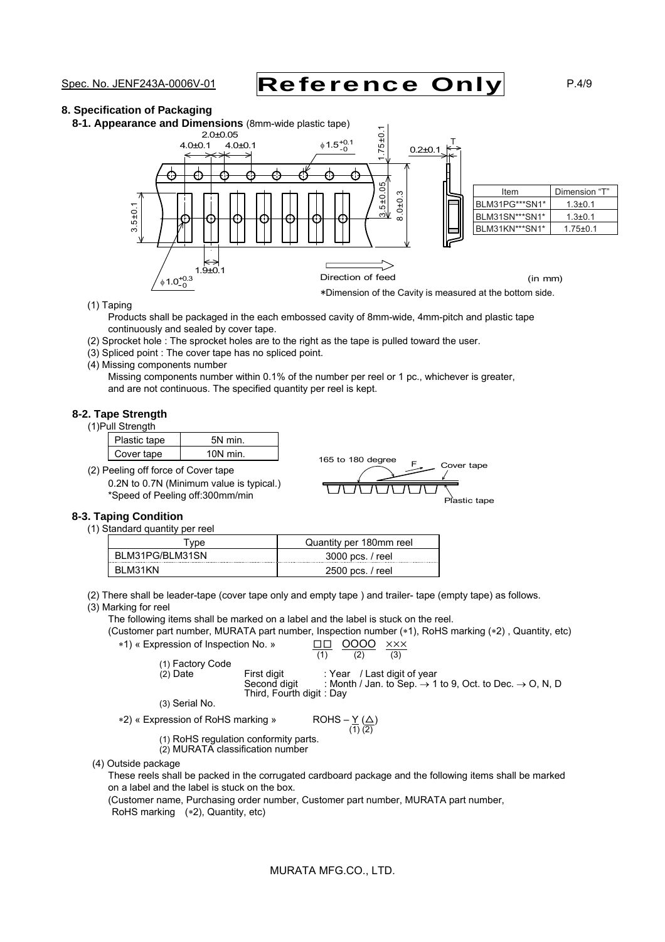# Spec. No. JENF243A-0006V-01 Reference Only P.4/9

### **8. Specification of Packaging**

**8-1. Appearance and Dimensions** (8mm-wide plastic tape)



(1) Taping

Products shall be packaged in the each embossed cavity of 8mm-wide, 4mm-pitch and plastic tape continuously and sealed by cover tape.

- (2) Sprocket hole : The sprocket holes are to the right as the tape is pulled toward the user.
- (3) Spliced point : The cover tape has no spliced point.
- (4) Missing components number

Missing components number within 0.1% of the number per reel or 1 pc., whichever is greater, and are not continuous. The specified quantity per reel is kept.

#### **8-2. Tape Strength**

(1)Pull Strength

| Plastic tape | min   |
|--------------|-------|
| over tape    | J min |

(2) Peeling off force of Cover tape 0.2N to 0.7N (Minimum value \*Speed of Peeling off:300mm

is typical.) 
$$
\overline{U} \overline{U} \overline{U} \overline{U}
$$

#### **8-3. Taping Condition**

(1) Standard quantity per reel

| vpe             | Quantity per 180mm reel |
|-----------------|-------------------------|
| BLM31PG/BLM31SN | 3000 pcs. / reel        |
| - BI M31KN      | 2500 pcs. / reel        |

(2) There shall be leader-tape (cover tape only and empty tape ) and trailer- tape (empty tape) as follows.

(3) Marking for reel

The following items shall be marked on a label and the label is stuck on the reel.

(Customer part number, MURATA part number, Inspection number (\*1), RoHS marking (\*2), Quantity, etc) \*1) « Expression of Inspection No. » □□ 0000  $\times$ ××

| (1) Factory Code |                                          |                             |                                                                                 |  |
|------------------|------------------------------------------|-----------------------------|---------------------------------------------------------------------------------|--|
| $(2)$ Date       | First digit                              | : Year / Last digit of year |                                                                                 |  |
|                  | Second digit<br>Third, Fourth digit: Day |                             | : Month / Jan. to Sep. $\rightarrow$ 1 to 9, Oct. to Dec. $\rightarrow$ O, N, D |  |
| (3) Serial No.   |                                          |                             |                                                                                 |  |

165 to 180 degree  $F_{\text{c}}$  Cover tape

<u>astic tape</u>

\*2) « Expression of RoHS marking »

 $ROHS - \underline{Y} (\underline{\triangle})$ <br>(1) (2)

(1) RoHS regulation conformity parts.

(2) MURATA classification number

(4) Outside package

These reels shall be packed in the corrugated cardboard package and the following items shall be marked on a label and the label is stuck on the box.

(Customer name, Purchasing order number, Customer part number, MURATA part number, RoHS marking (\*2), Quantity, etc)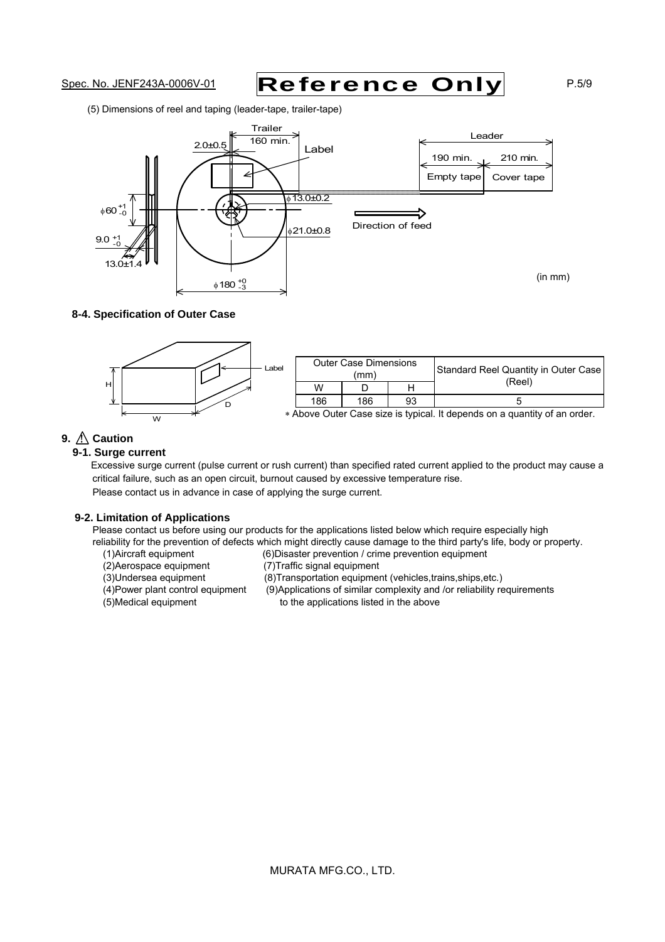# Spec. No. JENF243A-0006V-01 Reference Only P.5/9

(5) Dimensions of reel and taping (leader-tape, trailer-tape)



#### **8-4. Specification of Outer Case**



# **9.** ! **Caution**

#### **9-1. Surge current**

Excessive surge current (pulse current or rush current) than specified rated current applied to the product may cause a critical failure, such as an open circuit, burnout caused by excessive temperature rise. Please contact us in advance in case of applying the surge current.

#### **9-2. Limitation of Applications**

Please contact us before using our products for the applications listed below which require especially high reliability for the prevention of defects which might directly cause damage to the third party's life, body or property.

- (1)Aircraft equipment (6)Disaster prevention / crime prevention equipment
- (2)Aerospace equipment (7)Traffic signal equipment
- 
- 
- 
- (8)Transportation equipment (vehicles,trains, ships, etc.) (4)Power plant control equipment (9)Applications of similar complexity and /or reliability requirements (5)Medical equipment to the applications listed in the above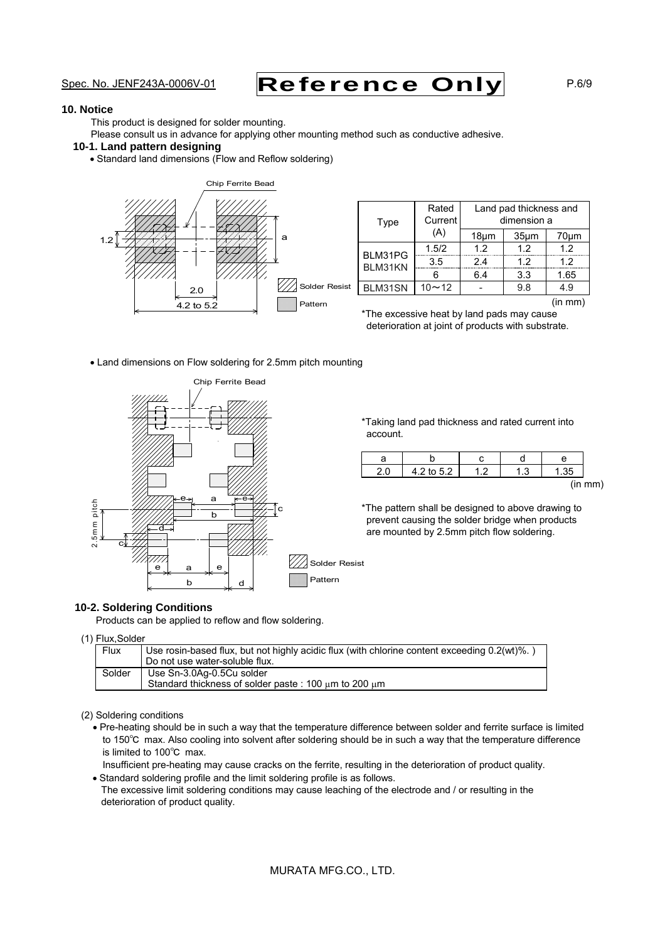# Spec. No. JENF243A-0006V-01 Reference Only P.6/9

#### **10. Notice**

This product is designed for solder mounting.

Please consult us in advance for applying other mounting method such as conductive adhesive.

### **10-1. Land pattern designing**

Standard land dimensions (Flow and Reflow soldering)



| Type               | Rated<br>Current | Land pad thickness and<br>dimension a |                   |      |  |
|--------------------|------------------|---------------------------------------|-------------------|------|--|
|                    | (A)              | 18um                                  | 35 <sub>µ</sub> m | 70um |  |
| BLM31PG<br>BLM31KN | 1.5/2            | 1.2                                   | 1.2               | 1.2  |  |
|                    | 3.5              | 2.4                                   | 1.2               | 1.2  |  |
|                    |                  | 6.4                                   | 3.3               | 1.65 |  |
| BLM31SN            | $10 - 12$        |                                       | 9.8               | 4.9  |  |

(in mm)

\*The excessive heat by land pads may cause deterioration at joint of products with substrate.

Land dimensions on Flow soldering for 2.5mm pitch mounting



\*Taking land pad thickness and rated current into account.

| 4.2 to 5.2 | ີ | c |         |
|------------|---|---|---------|
|            |   |   | (in mm) |

\*The pattern shall be designed to above drawing to prevent causing the solder bridge when products are mounted by 2.5mm pitch flow soldering.

#### **10-2. Soldering Conditions**

Products can be applied to reflow and flow soldering.

(1) Flux,Solder

| Flux   | Use rosin-based flux, but not highly acidic flux (with chlorine content exceeding 0.2(wt)%.) |
|--------|----------------------------------------------------------------------------------------------|
|        | Do not use water-soluble flux.                                                               |
| Solder | Use Sn-3.0Ag-0.5Cu solder                                                                    |
|        | Standard thickness of solder paste: 100 um to 200 um                                         |

#### (2) Soldering conditions

Pre-heating should be in such a way that the temperature difference between solder and ferrite surface is limited to 150℃ max. Also cooling into solvent after soldering should be in such a way that the temperature difference is limited to 100℃ max.

Insufficient pre-heating may cause cracks on the ferrite, resulting in the deterioration of product quality.

Standard soldering profile and the limit soldering profile is as follows. The excessive limit soldering conditions may cause leaching of the electrode and / or resulting in the deterioration of product quality.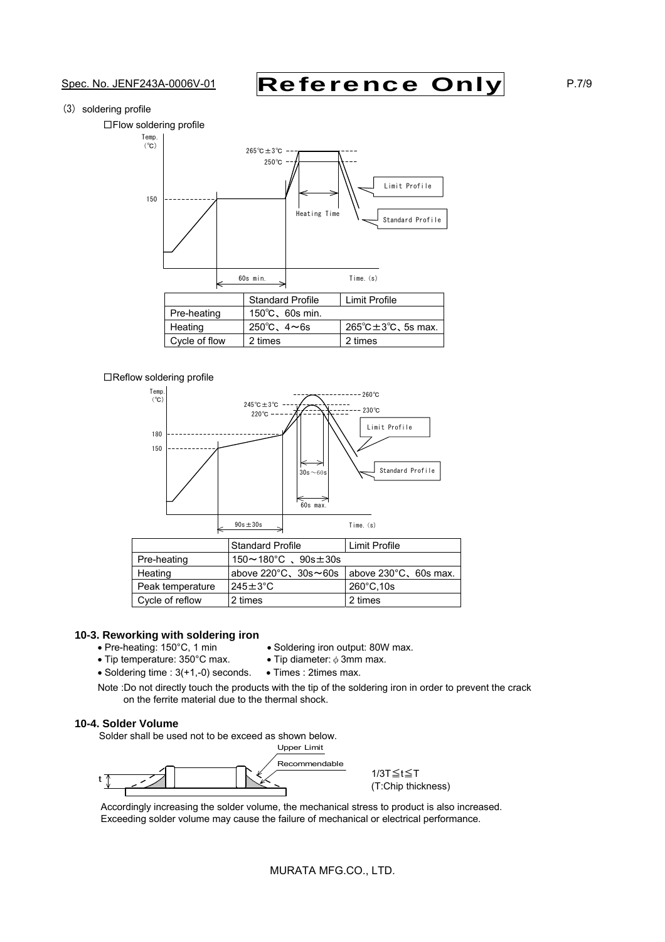# Spec. No. JENF243A-0006V-01 Reference Only P.7/9

(3) soldering profile

□Flow soldering profile



### □Reflow soldering profile



|                  | <b>Standard Profile</b>                 | Limit Profile         |
|------------------|-----------------------------------------|-----------------------|
| Pre-heating      | $150 \sim 180^{\circ}$ C. $90s \pm 30s$ |                       |
| Heating          | above $220^{\circ}$ C, $30s \sim 60s$   | above 230°C, 60s max. |
| Peak temperature | $245 \pm 3^{\circ}$ C                   | $260^{\circ}$ C, 10s  |
| Cycle of reflow  | 2 times                                 | 2 times               |

#### **10-3. Reworking with soldering iron**

- Pre-heating: 150°C, 1 min Soldering iron output: 80W max.
	-
- Tip temperature:  $350^{\circ}$ C max. Tip diameter:  $\phi$  3mm max.  $\bullet$  Soldering time : 3(+1,-0) seconds.  $\bullet$  Times : 2times max.
- Note :Do not directly touch the products with the tip of the soldering iron in order to prevent the crack on the ferrite material due to the thermal shock.

#### **10-4. Solder Volume**

Solder shall be used not to be exceed as shown below.



1/3T≦t≦T (T:Chip thickness)

Accordingly increasing the solder volume, the mechanical stress to product is also increased. Exceeding solder volume may cause the failure of mechanical or electrical performance.

MURATA MFG.CO., LTD.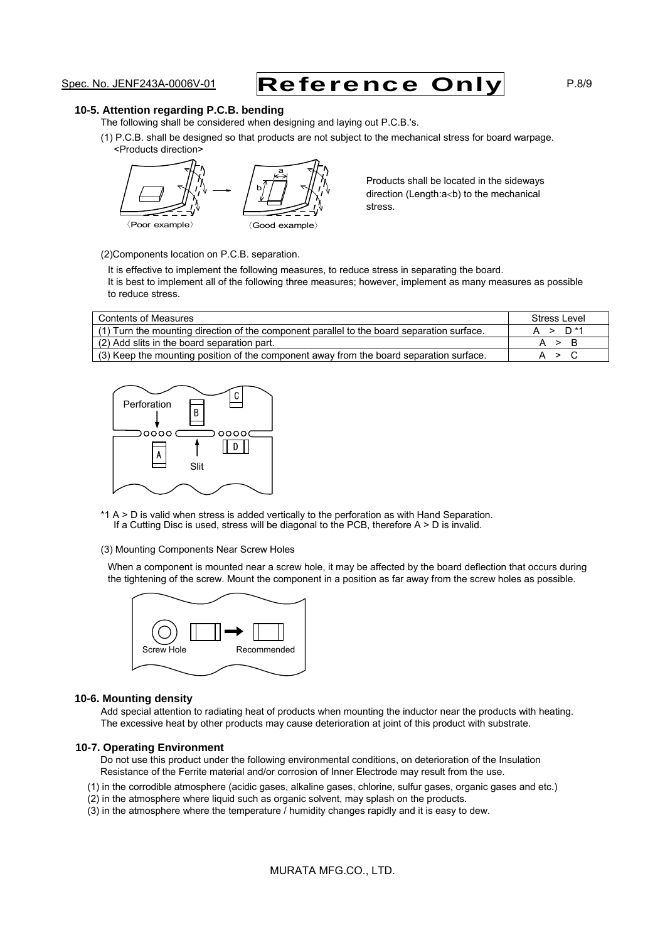# Spec. No. JENF243A-0006V-01 Reference Only P.8/9

#### **10-5. Attention regarding P.C.B. bending**

The following shall be considered when designing and laying out P.C.B.'s.

(1) P.C.B. shall be designed so that products are not subject to the mechanical stress for board warpage. <Products direction>



Products shall be located in the sideways direction (Length: $a$ <br/>b) to the mechanical stress.

(2)Components location on P.C.B. separation.

It is effective to implement the following measures, to reduce stress in separating the board. It is best to implement all of the following three measures; however, implement as many measures as possible to reduce stress.

| <b>Contents of Measures</b>                                                                | Stress Level        |
|--------------------------------------------------------------------------------------------|---------------------|
| (1) Turn the mounting direction of the component parallel to the board separation surface. | A > D <sup>*1</sup> |
| (2) Add slits in the board separation part.                                                | A > B               |
| (3) Keep the mounting position of the component away from the board separation surface.    | A > C               |



\*1 A > D is valid when stress is added vertically to the perforation as with Hand Separation. If a Cutting Disc is used, stress will be diagonal to the PCB, therefore A > D is invalid.

(3) Mounting Components Near Screw Holes

When a component is mounted near a screw hole, it may be affected by the board deflection that occurs during the tightening of the screw. Mount the component in a position as far away from the screw holes as possible.



#### **10-6. Mounting density**

Add special attention to radiating heat of products when mounting the inductor near the products with heating. The excessive heat by other products may cause deterioration at joint of this product with substrate.

#### **10-7. Operating Environment**

Do not use this product under the following environmental conditions, on deterioration of the Insulation Resistance of the Ferrite material and/or corrosion of Inner Electrode may result from the use.

- (1) in the corrodible atmosphere (acidic gases, alkaline gases, chlorine, sulfur gases, organic gases and etc.)
- (2) in the atmosphere where liquid such as organic solvent, may splash on the products.
- (3) in the atmosphere where the temperature / humidity changes rapidly and it is easy to dew.